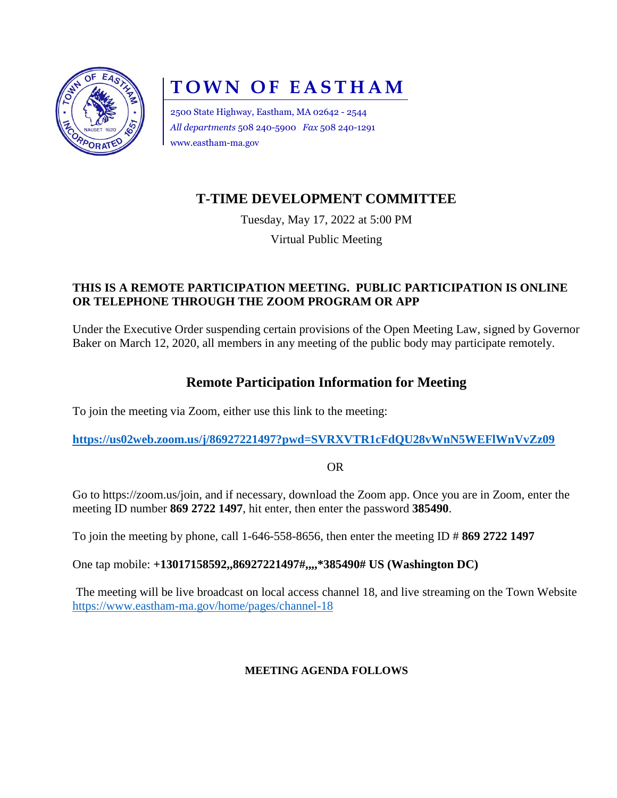

# **TOWN OF EASTHAM**

2500 State Highway, Eastham, MA 02642 - 2544 *All departments* 508 240-5900 *Fax* 508 240-1291 www.eastham-ma.gov

# **T-TIME DEVELOPMENT COMMITTEE**

Tuesday, May 17, 2022 at 5:00 PM

Virtual Public Meeting

### **THIS IS A REMOTE PARTICIPATION MEETING. PUBLIC PARTICIPATION IS ONLINE OR TELEPHONE THROUGH THE ZOOM PROGRAM OR APP**

Under the Executive Order suspending certain provisions of the Open Meeting Law, signed by Governor Baker on March 12, 2020, all members in any meeting of the public body may participate remotely.

## **Remote Participation Information for Meeting**

To join the meeting via Zoom, either use this link to the meeting:

**<https://us02web.zoom.us/j/86927221497?pwd=SVRXVTR1cFdQU28vWnN5WEFlWnVvZz09>**

OR

Go to [https://zoom.us/join,](https://zoom.us/join) and if necessary, download the Zoom app. Once you are in Zoom, enter the meeting ID number **869 2722 1497**, hit enter, then enter the password **385490**.

To join the meeting by phone, call 1-646-558-8656, then enter the meeting ID # **869 2722 1497**

One tap mobile: **+13017158592,,86927221497#,,,,\*385490# US (Washington DC)**

The meeting will be live broadcast on local access channel 18, and live streaming on the Town Website <https://www.eastham-ma.gov/home/pages/channel-18>

#### **MEETING AGENDA FOLLOWS**